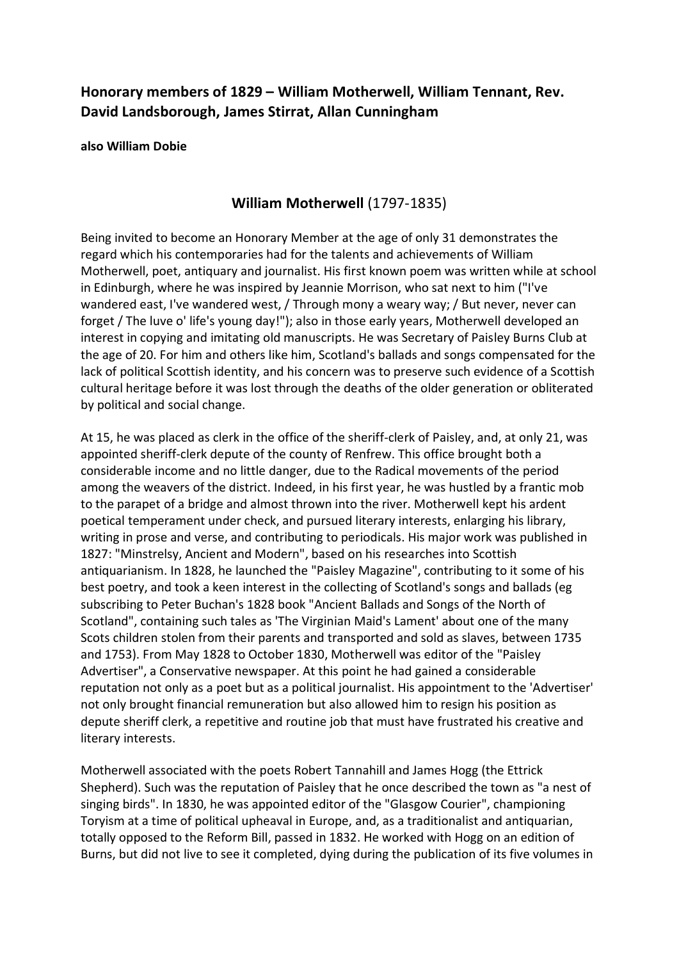## **Honorary members of 1829 – William Motherwell, William Tennant, Rev. David Landsborough, James Stirrat, Allan Cunningham**

**also William Dobie**

## **William Motherwell** (1797-1835)

Being invited to become an Honorary Member at the age of only 31 demonstrates the regard which his contemporaries had for the talents and achievements of William Motherwell, poet, antiquary and journalist. His first known poem was written while at school in Edinburgh, where he was inspired by Jeannie Morrison, who sat next to him ("I've wandered east, I've wandered west, / Through mony a weary way; / But never, never can forget / The luve o' life's young day!"); also in those early years, Motherwell developed an interest in copying and imitating old manuscripts. He was Secretary of Paisley Burns Club at the age of 20. For him and others like him, Scotland's ballads and songs compensated for the lack of political Scottish identity, and his concern was to preserve such evidence of a Scottish cultural heritage before it was lost through the deaths of the older generation or obliterated by political and social change.

At 15, he was placed as clerk in the office of the sheriff-clerk of Paisley, and, at only 21, was appointed sheriff-clerk depute of the county of Renfrew. This office brought both a considerable income and no little danger, due to the Radical movements of the period among the weavers of the district. Indeed, in his first year, he was hustled by a frantic mob to the parapet of a bridge and almost thrown into the river. Motherwell kept his ardent poetical temperament under check, and pursued literary interests, enlarging his library, writing in prose and verse, and contributing to periodicals. His major work was published in 1827: "Minstrelsy, Ancient and Modern", based on his researches into Scottish antiquarianism. In 1828, he launched the "Paisley Magazine", contributing to it some of his best poetry, and took a keen interest in the collecting of Scotland's songs and ballads (eg subscribing to Peter Buchan's 1828 book "Ancient Ballads and Songs of the North of Scotland", containing such tales as 'The Virginian Maid's Lament' about one of the many Scots children stolen from their parents and transported and sold as slaves, between 1735 and 1753). From May 1828 to October 1830, Motherwell was editor of the "Paisley Advertiser", a Conservative newspaper. At this point he had gained a considerable reputation not only as a poet but as a political journalist. His appointment to the 'Advertiser' not only brought financial remuneration but also allowed him to resign his position as depute sheriff clerk, a repetitive and routine job that must have frustrated his creative and literary interests.

Motherwell associated with the poets Robert Tannahill and James Hogg (the Ettrick Shepherd). Such was the reputation of Paisley that he once described the town as "a nest of singing birds". In 1830, he was appointed editor of the "Glasgow Courier", championing Toryism at a time of political upheaval in Europe, and, as a traditionalist and antiquarian, totally opposed to the Reform Bill, passed in 1832. He worked with Hogg on an edition of Burns, but did not live to see it completed, dying during the publication of its five volumes in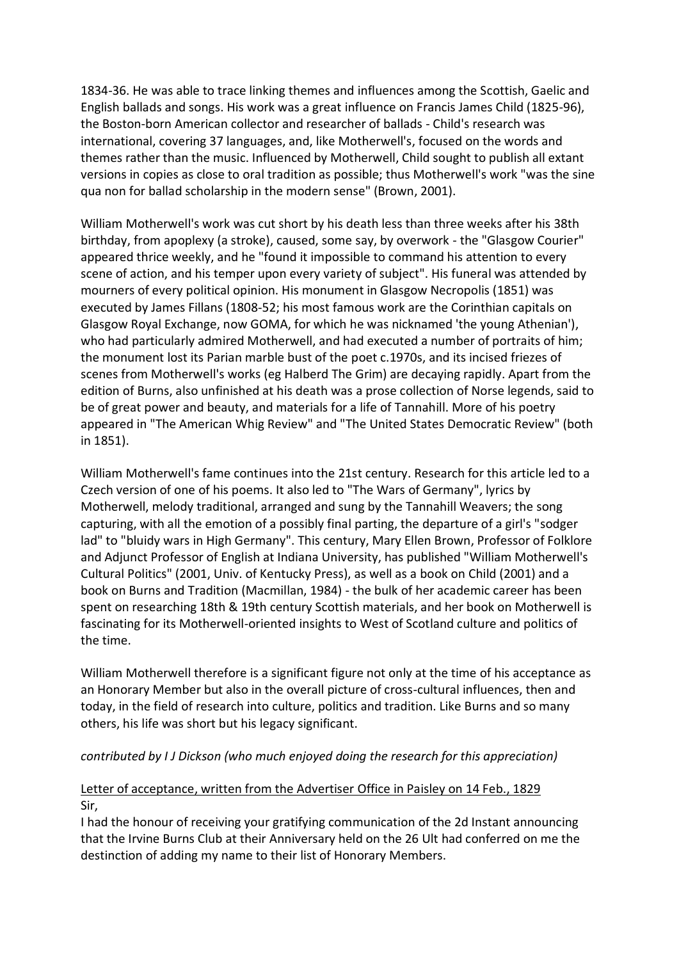1834-36. He was able to trace linking themes and influences among the Scottish, Gaelic and English ballads and songs. His work was a great influence on Francis James Child (1825-96), the Boston-born American collector and researcher of ballads - Child's research was international, covering 37 languages, and, like Motherwell's, focused on the words and themes rather than the music. Influenced by Motherwell, Child sought to publish all extant versions in copies as close to oral tradition as possible; thus Motherwell's work "was the sine qua non for ballad scholarship in the modern sense" (Brown, 2001).

William Motherwell's work was cut short by his death less than three weeks after his 38th birthday, from apoplexy (a stroke), caused, some say, by overwork - the "Glasgow Courier" appeared thrice weekly, and he "found it impossible to command his attention to every scene of action, and his temper upon every variety of subject". His funeral was attended by mourners of every political opinion. His monument in Glasgow Necropolis (1851) was executed by James Fillans (1808-52; his most famous work are the Corinthian capitals on Glasgow Royal Exchange, now GOMA, for which he was nicknamed 'the young Athenian'), who had particularly admired Motherwell, and had executed a number of portraits of him; the monument lost its Parian marble bust of the poet c.1970s, and its incised friezes of scenes from Motherwell's works (eg Halberd The Grim) are decaying rapidly. Apart from the edition of Burns, also unfinished at his death was a prose collection of Norse legends, said to be of great power and beauty, and materials for a life of Tannahill. More of his poetry appeared in "The American Whig Review" and "The United States Democratic Review" (both in 1851).

William Motherwell's fame continues into the 21st century. Research for this article led to a Czech version of one of his poems. It also led to "The Wars of Germany", lyrics by Motherwell, melody traditional, arranged and sung by the Tannahill Weavers; the song capturing, with all the emotion of a possibly final parting, the departure of a girl's "sodger lad" to "bluidy wars in High Germany". This century, Mary Ellen Brown, Professor of Folklore and Adjunct Professor of English at Indiana University, has published "William Motherwell's Cultural Politics" (2001, Univ. of Kentucky Press), as well as a book on Child (2001) and a book on Burns and Tradition (Macmillan, 1984) - the bulk of her academic career has been spent on researching 18th & 19th century Scottish materials, and her book on Motherwell is fascinating for its Motherwell-oriented insights to West of Scotland culture and politics of the time.

William Motherwell therefore is a significant figure not only at the time of his acceptance as an Honorary Member but also in the overall picture of cross-cultural influences, then and today, in the field of research into culture, politics and tradition. Like Burns and so many others, his life was short but his legacy significant.

#### *contributed by I J Dickson (who much enjoyed doing the research for this appreciation)*

#### Letter of acceptance, written from the Advertiser Office in Paisley on 14 Feb., 1829 Sir,

I had the honour of receiving your gratifying communication of the 2d Instant announcing that the Irvine Burns Club at their Anniversary held on the 26 Ult had conferred on me the destinction of adding my name to their list of Honorary Members.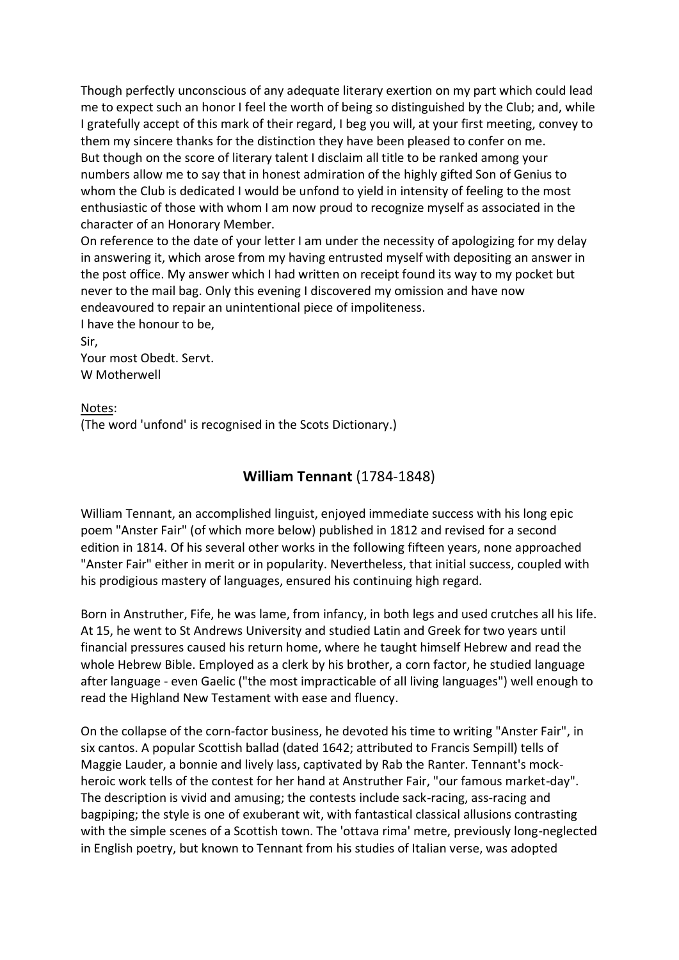Though perfectly unconscious of any adequate literary exertion on my part which could lead me to expect such an honor I feel the worth of being so distinguished by the Club; and, while I gratefully accept of this mark of their regard, I beg you will, at your first meeting, convey to them my sincere thanks for the distinction they have been pleased to confer on me. But though on the score of literary talent I disclaim all title to be ranked among your numbers allow me to say that in honest admiration of the highly gifted Son of Genius to whom the Club is dedicated I would be unfond to yield in intensity of feeling to the most enthusiastic of those with whom I am now proud to recognize myself as associated in the character of an Honorary Member.

On reference to the date of your letter I am under the necessity of apologizing for my delay in answering it, which arose from my having entrusted myself with depositing an answer in the post office. My answer which I had written on receipt found its way to my pocket but never to the mail bag. Only this evening I discovered my omission and have now endeavoured to repair an unintentional piece of impoliteness.

I have the honour to be, Sir, Your most Obedt. Servt. W Motherwell

Notes: (The word 'unfond' is recognised in the Scots Dictionary.)

### **William Tennant** (1784-1848)

William Tennant, an accomplished linguist, enjoyed immediate success with his long epic poem "Anster Fair" (of which more below) published in 1812 and revised for a second edition in 1814. Of his several other works in the following fifteen years, none approached "Anster Fair" either in merit or in popularity. Nevertheless, that initial success, coupled with his prodigious mastery of languages, ensured his continuing high regard.

Born in Anstruther, Fife, he was lame, from infancy, in both legs and used crutches all his life. At 15, he went to St Andrews University and studied Latin and Greek for two years until financial pressures caused his return home, where he taught himself Hebrew and read the whole Hebrew Bible. Employed as a clerk by his brother, a corn factor, he studied language after language - even Gaelic ("the most impracticable of all living languages") well enough to read the Highland New Testament with ease and fluency.

On the collapse of the corn-factor business, he devoted his time to writing "Anster Fair", in six cantos. A popular Scottish ballad (dated 1642; attributed to Francis Sempill) tells of Maggie Lauder, a bonnie and lively lass, captivated by Rab the Ranter. Tennant's mockheroic work tells of the contest for her hand at Anstruther Fair, "our famous market-day". The description is vivid and amusing; the contests include sack-racing, ass-racing and bagpiping; the style is one of exuberant wit, with fantastical classical allusions contrasting with the simple scenes of a Scottish town. The 'ottava rima' metre, previously long-neglected in English poetry, but known to Tennant from his studies of Italian verse, was adopted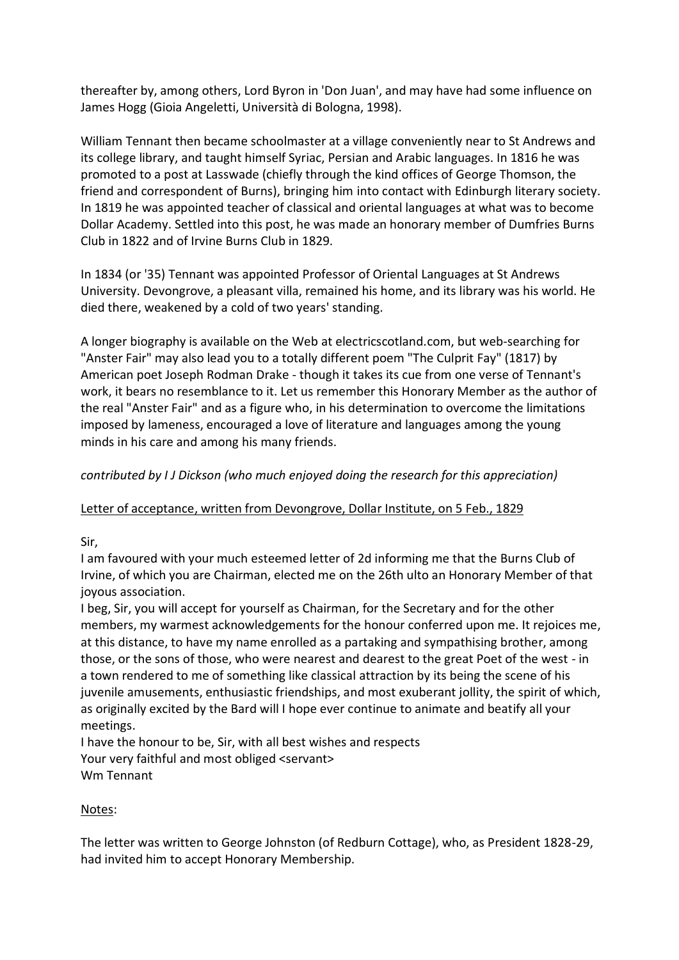thereafter by, among others, Lord Byron in 'Don Juan', and may have had some influence on James Hogg (Gioia Angeletti, Università di Bologna, 1998).

William Tennant then became schoolmaster at a village conveniently near to St Andrews and its college library, and taught himself Syriac, Persian and Arabic languages. In 1816 he was promoted to a post at Lasswade (chiefly through the kind offices of George Thomson, the friend and correspondent of Burns), bringing him into contact with Edinburgh literary society. In 1819 he was appointed teacher of classical and oriental languages at what was to become Dollar Academy. Settled into this post, he was made an honorary member of Dumfries Burns Club in 1822 and of Irvine Burns Club in 1829.

In 1834 (or '35) Tennant was appointed Professor of Oriental Languages at St Andrews University. Devongrove, a pleasant villa, remained his home, and its library was his world. He died there, weakened by a cold of two years' standing.

A longer biography is available on the Web at electricscotland.com, but web-searching for "Anster Fair" may also lead you to a totally different poem "The Culprit Fay" (1817) by American poet Joseph Rodman Drake - though it takes its cue from one verse of Tennant's work, it bears no resemblance to it. Let us remember this Honorary Member as the author of the real "Anster Fair" and as a figure who, in his determination to overcome the limitations imposed by lameness, encouraged a love of literature and languages among the young minds in his care and among his many friends.

#### *contributed by I J Dickson (who much enjoyed doing the research for this appreciation)*

#### Letter of acceptance, written from Devongrove, Dollar Institute, on 5 Feb., 1829

Sir,

I am favoured with your much esteemed letter of 2d informing me that the Burns Club of Irvine, of which you are Chairman, elected me on the 26th ulto an Honorary Member of that joyous association.

I beg, Sir, you will accept for yourself as Chairman, for the Secretary and for the other members, my warmest acknowledgements for the honour conferred upon me. It rejoices me, at this distance, to have my name enrolled as a partaking and sympathising brother, among those, or the sons of those, who were nearest and dearest to the great Poet of the west - in a town rendered to me of something like classical attraction by its being the scene of his juvenile amusements, enthusiastic friendships, and most exuberant jollity, the spirit of which, as originally excited by the Bard will I hope ever continue to animate and beatify all your meetings.

I have the honour to be, Sir, with all best wishes and respects Your very faithful and most obliged <servant> Wm Tennant

#### Notes:

The letter was written to George Johnston (of Redburn Cottage), who, as President 1828-29, had invited him to accept Honorary Membership.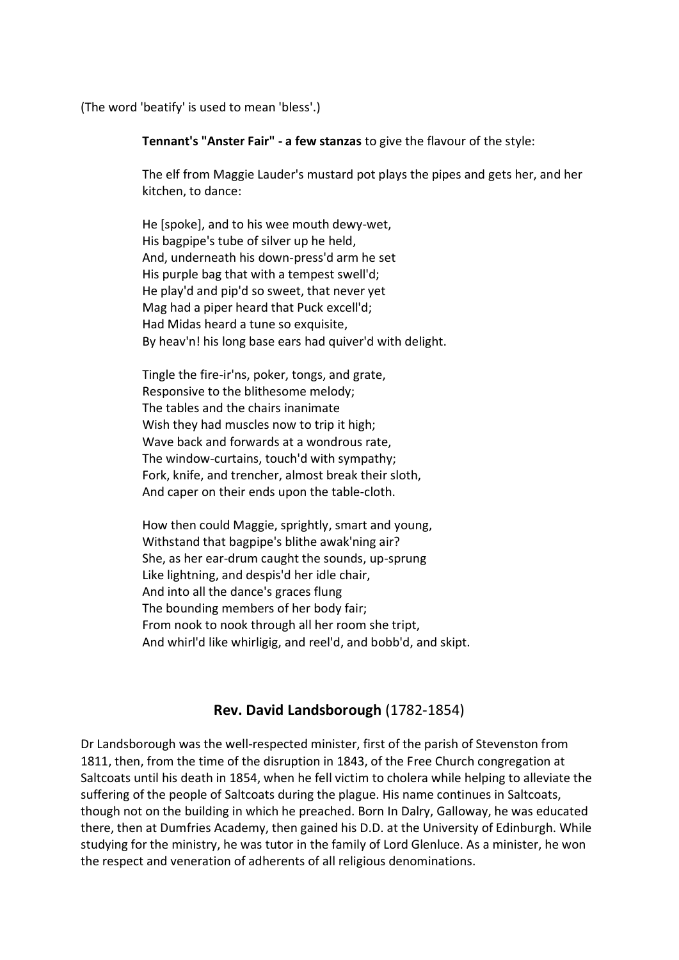(The word 'beatify' is used to mean 'bless'.)

**Tennant's "Anster Fair" - a few stanzas** to give the flavour of the style:

The elf from Maggie Lauder's mustard pot plays the pipes and gets her, and her kitchen, to dance:

He [spoke], and to his wee mouth dewy-wet, His bagpipe's tube of silver up he held, And, underneath his down-press'd arm he set His purple bag that with a tempest swell'd; He play'd and pip'd so sweet, that never yet Mag had a piper heard that Puck excell'd; Had Midas heard a tune so exquisite, By heav'n! his long base ears had quiver'd with delight.

Tingle the fire-ir'ns, poker, tongs, and grate, Responsive to the blithesome melody; The tables and the chairs inanimate Wish they had muscles now to trip it high: Wave back and forwards at a wondrous rate, The window-curtains, touch'd with sympathy; Fork, knife, and trencher, almost break their sloth, And caper on their ends upon the table-cloth.

How then could Maggie, sprightly, smart and young, Withstand that bagpipe's blithe awak'ning air? She, as her ear-drum caught the sounds, up-sprung Like lightning, and despis'd her idle chair, And into all the dance's graces flung The bounding members of her body fair; From nook to nook through all her room she tript, And whirl'd like whirligig, and reel'd, and bobb'd, and skipt.

### **Rev. David Landsborough** (1782-1854)

Dr Landsborough was the well-respected minister, first of the parish of Stevenston from 1811, then, from the time of the disruption in 1843, of the Free Church congregation at Saltcoats until his death in 1854, when he fell victim to cholera while helping to alleviate the suffering of the people of Saltcoats during the plague. His name continues in Saltcoats, though not on the building in which he preached. Born In Dalry, Galloway, he was educated there, then at Dumfries Academy, then gained his D.D. at the University of Edinburgh. While studying for the ministry, he was tutor in the family of Lord Glenluce. As a minister, he won the respect and veneration of adherents of all religious denominations.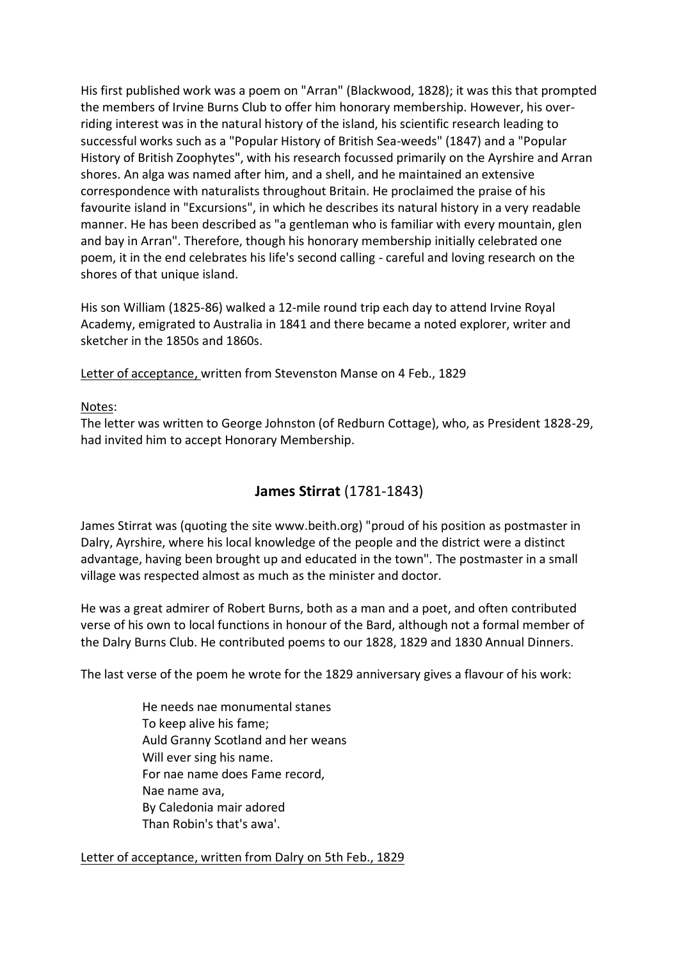His first published work was a poem on "Arran" (Blackwood, 1828); it was this that prompted the members of Irvine Burns Club to offer him honorary membership. However, his overriding interest was in the natural history of the island, his scientific research leading to successful works such as a "Popular History of British Sea-weeds" (1847) and a "Popular History of British Zoophytes", with his research focussed primarily on the Ayrshire and Arran shores. An alga was named after him, and a shell, and he maintained an extensive correspondence with naturalists throughout Britain. He proclaimed the praise of his favourite island in "Excursions", in which he describes its natural history in a very readable manner. He has been described as "a gentleman who is familiar with every mountain, glen and bay in Arran". Therefore, though his honorary membership initially celebrated one poem, it in the end celebrates his life's second calling - careful and loving research on the shores of that unique island.

His son William (1825-86) walked a 12-mile round trip each day to attend Irvine Royal Academy, emigrated to Australia in 1841 and there became a noted explorer, writer and sketcher in the 1850s and 1860s.

Letter of acceptance, written from Stevenston Manse on 4 Feb., 1829

Notes:

The letter was written to George Johnston (of Redburn Cottage), who, as President 1828-29, had invited him to accept Honorary Membership.

# **James Stirrat** (1781-1843)

James Stirrat was (quoting the site www.beith.org) "proud of his position as postmaster in Dalry, Ayrshire, where his local knowledge of the people and the district were a distinct advantage, having been brought up and educated in the town". The postmaster in a small village was respected almost as much as the minister and doctor.

He was a great admirer of Robert Burns, both as a man and a poet, and often contributed verse of his own to local functions in honour of the Bard, although not a formal member of the Dalry Burns Club. He contributed poems to our 1828, 1829 and 1830 Annual Dinners.

The last verse of the poem he wrote for the 1829 anniversary gives a flavour of his work:

He needs nae monumental stanes To keep alive his fame; Auld Granny Scotland and her weans Will ever sing his name. For nae name does Fame record, Nae name ava, By Caledonia mair adored Than Robin's that's awa'.

Letter of acceptance, written from Dalry on 5th Feb., 1829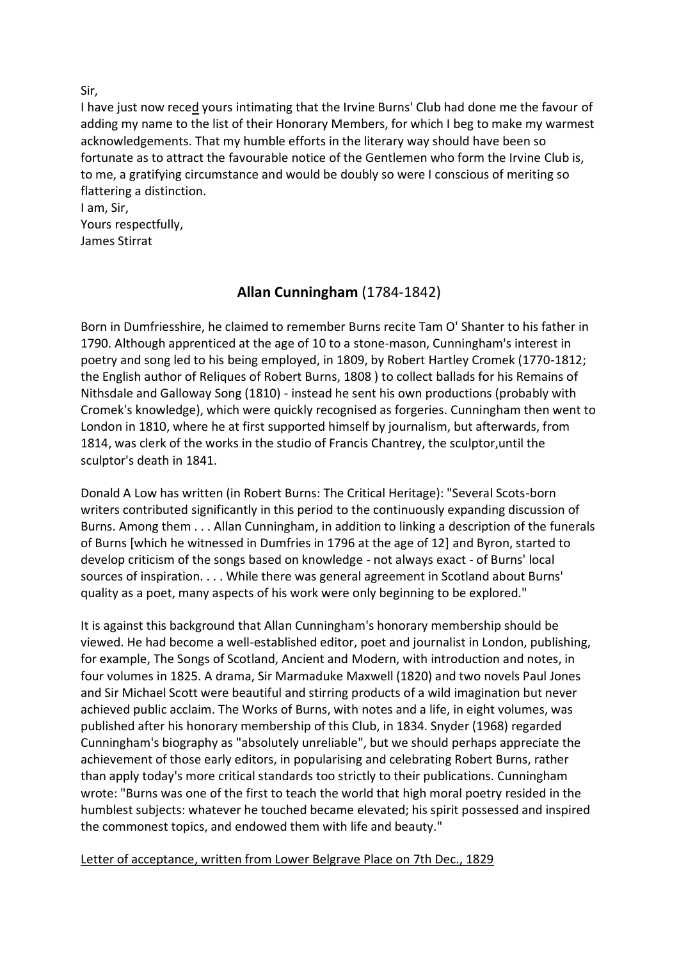Sir,

I have just now reced yours intimating that the Irvine Burns' Club had done me the favour of adding my name to the list of their Honorary Members, for which I beg to make my warmest acknowledgements. That my humble efforts in the literary way should have been so fortunate as to attract the favourable notice of the Gentlemen who form the Irvine Club is, to me, a gratifying circumstance and would be doubly so were I conscious of meriting so flattering a distinction.

I am, Sir, Yours respectfully, James Stirrat

# **Allan Cunningham** (1784-1842)

Born in Dumfriesshire, he claimed to remember Burns recite Tam O' Shanter to his father in 1790. Although apprenticed at the age of 10 to a stone-mason, Cunningham's interest in poetry and song led to his being employed, in 1809, by Robert Hartley Cromek (1770-1812; the English author of Reliques of Robert Burns, 1808 ) to collect ballads for his Remains of Nithsdale and Galloway Song (1810) - instead he sent his own productions (probably with Cromek's knowledge), which were quickly recognised as forgeries. Cunningham then went to London in 1810, where he at first supported himself by journalism, but afterwards, from 1814, was clerk of the works in the studio of Francis Chantrey, the sculptor,until the sculptor's death in 1841.

Donald A Low has written (in Robert Burns: The Critical Heritage): "Several Scots-born writers contributed significantly in this period to the continuously expanding discussion of Burns. Among them . . . Allan Cunningham, in addition to linking a description of the funerals of Burns [which he witnessed in Dumfries in 1796 at the age of 12] and Byron, started to develop criticism of the songs based on knowledge - not always exact - of Burns' local sources of inspiration. . . . While there was general agreement in Scotland about Burns' quality as a poet, many aspects of his work were only beginning to be explored."

It is against this background that Allan Cunningham's honorary membership should be viewed. He had become a well-established editor, poet and journalist in London, publishing, for example, The Songs of Scotland, Ancient and Modern, with introduction and notes, in four volumes in 1825. A drama, Sir Marmaduke Maxwell (1820) and two novels Paul Jones and Sir Michael Scott were beautiful and stirring products of a wild imagination but never achieved public acclaim. The Works of Burns, with notes and a life, in eight volumes, was published after his honorary membership of this Club, in 1834. Snyder (1968) regarded Cunningham's biography as "absolutely unreliable", but we should perhaps appreciate the achievement of those early editors, in popularising and celebrating Robert Burns, rather than apply today's more critical standards too strictly to their publications. Cunningham wrote: "Burns was one of the first to teach the world that high moral poetry resided in the humblest subjects: whatever he touched became elevated; his spirit possessed and inspired the commonest topics, and endowed them with life and beauty."

#### Letter of acceptance, written from Lower Belgrave Place on 7th Dec., 1829